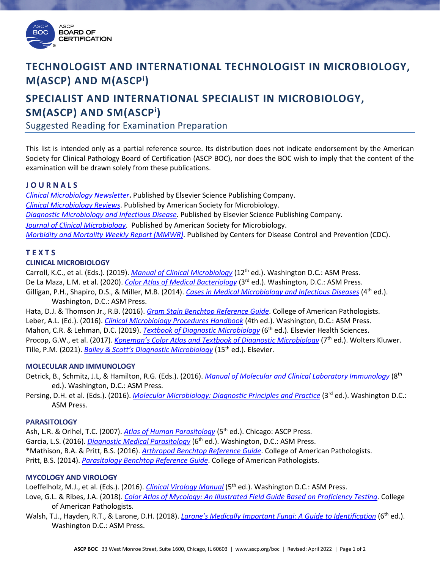

# **TECHNOLOGIST AND INTERNATIONAL TECHNOLOGIST IN MICROBIOLOGY, M(ASCP) AND M(ASCPi )**

# **SPECIALIST AND INTERNATIONAL SPECIALIST IN MICROBIOLOGY, SM(ASCP) AND SM(ASCPi )**

Suggested Reading for Examination Preparation

This list is intended only as a partial reference source. Its distribution does not indicate endorsement by the American Society for Clinical Pathology Board of Certification (ASCP BOC), nor does the BOC wish to imply that the content of the examination will be drawn solely from these publications.

## **J O U R N A L S**

*[Clinical Microbiology Newsletter](http://www.elsevier.com/wps/find/journaldescription.cws_home/505755/description#description)***.** Published by Elsevier Science Publishing Company. *[Clinical Microbiology Reviews](http://cmr.asm.org/)*. Published by American Society for Microbiology. *[Diagnostic Microbiology and Infectious Disease.](http://www.elsevier.com/wps/find/journaldescription.cws_home/505759/description#description)* Published by Elsevier Science Publishing Company. *[Journal of Clinical Microbiology](http://jcm.asm.org/)*. Published by American Society for Microbiology. *[Morbidity and Mortality Weekly Report \(MMWR\)](http://www.cdc.gov/mmwr/)*. Published by Centers for Disease Control and Prevention (CDC).

# **T E X T S**

## **CLINICAL MICROBIOLOGY**

Carroll, K.C., et al. (Eds.). (2019). *[Manual of Clinical Microbiology](https://www.amazon.com/Clinical-Microbiology-Twelfth-Michael-Pfaller/dp/1555819834/ref=pd_lpo_sbs_14_t_0?_encoding=UTF8&psc=1&refRID=M4GN6ANJG2QNHKPGDQED)* (12<sup>th</sup> ed.). Washington D.C.: ASM Press. De La Maza, L.M. et al. (2020). *[Color Atlas of Medical Bacteriology](https://www.amazon.com/Color-Atlas-Medical-Bacteriology-Books/dp/1683670353)* (3rd ed.). Washington, D.C.: ASM Press. Gilligan, P.H., Shapiro, D.S., & Miller, M.B. (2014). *[Cases in Medical Microbiology and Infectious Diseases](https://www.amazon.com/Cases-Medical-Microbiology-Infectious-Diseases/dp/1555818684)* (4<sup>th</sup> ed.). Washington, D.C.: ASM Press.

Hata, D.J. & Thomson Jr., R.B. (2016). *[Gram Stain Benchtop Reference Guide](https://estore.cap.org/OA_HTML/xxCAPibeCCtpItmDspRte.jsp?section=10043&item=439857&sitex=10020:22372:US)*. College of American Pathologists. Leber, A.L. (Ed.). (2016). *[Clinical Microbiology Procedures Handbook](https://www.amazon.com/Clinical-Microbiology-Procedures-Handbook-Set/dp/1555818803)* (4th ed.). Washington, D.C.: ASM Press. Mahon, C.R. & Lehman, D.C. (2019). *[Textbook of Diagnostic Microbiology](https://www.amazon.com/Textbook-Diagnostic-Microbiology-6e-NA/dp/032348218X/ref=dp_ob_title_bk)* (6<sup>th</sup> ed.). Elsevier Health Sciences. Procop, G.W., et al. (2017). *[Koneman's Color Atlas and Textbook of Diagnostic Microbiology](https://www.amazon.com/gp/product/1451116594/ref=s9_simh_gw_g14_i1_r?ie=UTF8&fpl=fresh&pf_rd_m=ATVPDKIKX0DER&pf_rd_s=desktop-1&pf_rd_r=3QVBB57HFAR2R64VA9E6&pf_rd_t=36701&pf_rd_p=6aad23bd-3035-4a40-b691-0eefb1a18396&pf_rd_i=desktop)* (7<sup>th</sup> ed.). Wolters Kluwer. Tille, P.M. (2021). *[Bailey & Scott's Diagnostic Microbiology](https://www.amazon.com/Bailey-Scotts-Diagnostic-Microbiology-14e/dp/0323354823/ref=dp_ob_title_bk)* (15<sup>th</sup> ed.). Elsevier.

### **MOLECULAR AND IMMUNOLOGY**

- Detrick, B., Schmitz, J.L, & Hamilton, R.G. (Eds.). (2016). *[Manual of Molecular and Clinical Laboratory Immunology](https://www.amazon.com/Manual-Molecular-Clinical-Laboratory-Immunology/dp/1555818714/ref=pd_sim_sbs_14_3?ie=UTF8&dpID=418R8n-ch4L&dpSrc=sims&preST=_AC_UL160_SR121%2C160_&psc=1&refRID=VC1Z3NQ8S0C522ZR3FXT)* (8th ed.). Washington, D.C.: ASM Press.
- Persing, D.H. et al. (Eds.). (2016). *[Molecular Microbiology: Diagnostic Principles and Practice](https://www.amazon.com/Molecular-Microbiology-Diagnostic-Principles-Practice/dp/1555819087/ref=sr_1_fkmr0_1?s=books&ie=UTF8&qid=1530885820&sr=1-1-fkmr0&keywords=pershing+molecular+microbiology)* (3<sup>rd</sup> ed.). Washington D.C.: ASM Press.

### **PARASITOLOGY**

Ash, L.R. & Orihel, T.C. (2007). *[Atlas of Human Parasitology](https://www.amazon.com/Atlas-Human-Parasitology-Lawrence-Ash/dp/0891891676/ref=sr_1_1?ie=UTF8&qid=1547836383&sr=8-1&keywords=Atlas+of+Human+Parasitology)* (5<sup>th</sup> ed.). Chicago: ASCP Press. Garcia, L.S. (2016). *[Diagnostic Medical Parasitology](https://www.amazon.com/Diagnostic-Medical-Parasitology-Lynne-Garcia/dp/1555818994/ref=asc_df_1555818994/?tag=hyprod-20&linkCode=df0&hvadid=312371602209&hvpos=&hvnetw=g&hvrand=17708746220199543106&hvpone=&hvptwo=&hvqmt=&hvdev=c&hvdvcmdl=&hvlocint=&hvlocphy=9022096&hvtargid=pla-417966827255&psc=1&tag=&ref=&adgrpid=61011965686&hvpone=&hvptwo=&hvadid=312371602209&hvpos=&hvnetw=g&hvrand=17708746220199543106&hvqmt=&hvdev=c&hvdvcmdl=&hvlocint=&hvlocphy=9022096&hvtargid=pla-417966827255)* (6th ed.). Washington, D.C.: ASM Press. **\***Mathison, B.A. & Pritt, B.S. (2016). *[Arthropod Benchtop Reference Guide](https://estore.cap.org/OA_HTML/xxCAPibeCCtpItmDspRte.jsp?section=10043&item=358857&sitex=10020:22372:US)*. College of American Pathologists. Pritt, B.S. (2014). *[Parasitology Benchtop Reference Guide](https://estore.cap.org/OA_HTML/xxCAPibeCCtpItmDspRte.jsp?section=10043&item=203857&sitex=10020:22372:US)*. College of American Pathologists.

## **MYCOLOGY AND VIROLOGY**

Loeffelholz, M.J., et al. (Eds.). (2016). *[Clinical Virology Manual](https://www.amazon.com/Clinical-Virology-Manual-Michael-Loeffelholz/dp/1555819141/ref=dp_ob_title_bk)* (5<sup>th</sup> ed.). Washington D.C.: ASM Press.

- Love, G.L. & Ribes, J.A. (2018). *[Color Atlas of Mycology: An Illustrated Field Guide Based on Proficiency Testing](https://www.amazon.com/COLOR-ATLAS-MYCOLOGY-emeritus-Gordon/dp/B07HJ8FDKB)*. College of American Pathologists.
- Walsh, T.J., Hayden, R.T., & Larone, D.H. (2018). *[Larone's Medically Important Fungi: A Guide to Identification](https://www.amazon.com/Larones-Medically-Important-Fungi-Identification/dp/1555819877/ref=dp_ob_title_bk)* (6<sup>th</sup> ed.). Washington D.C.: ASM Press.